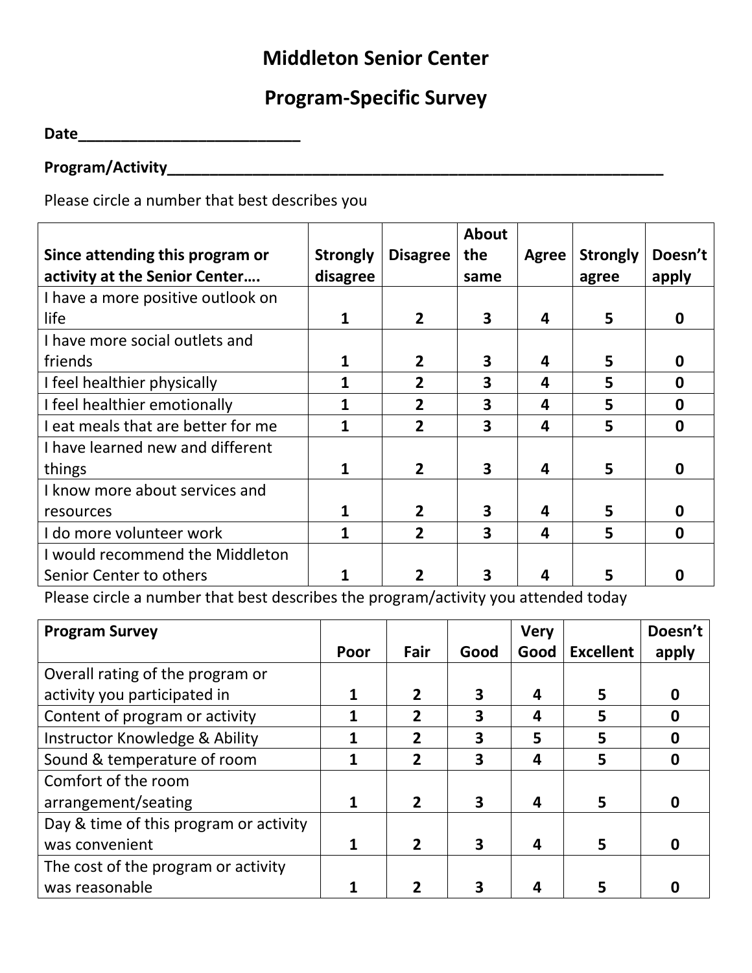## **Middleton Senior Center**

## **Program-Specific Survey**

**Date\_\_\_\_\_\_\_\_\_\_\_\_\_\_\_\_\_\_\_\_\_\_\_\_\_\_** 

## **Program/Activity\_\_\_\_\_\_\_\_\_\_\_\_\_\_\_\_\_\_\_\_\_\_\_\_\_\_\_\_\_\_\_\_\_\_\_\_\_\_\_\_\_\_\_\_\_\_\_\_\_\_\_\_\_\_\_\_\_\_**

Please circle a number that best describes you

|                                    |                 |                 | About                   |       |                 |              |
|------------------------------------|-----------------|-----------------|-------------------------|-------|-----------------|--------------|
| Since attending this program or    | <b>Strongly</b> | <b>Disagree</b> | the                     | Agree | <b>Strongly</b> | Doesn't      |
| activity at the Senior Center      | disagree        |                 | same                    |       | agree           | apply        |
| I have a more positive outlook on  |                 |                 |                         |       |                 |              |
| life                               |                 | $\overline{2}$  | $\overline{\mathbf{3}}$ | 4     | 5               | 0            |
| I have more social outlets and     |                 |                 |                         |       |                 |              |
| friends                            |                 | $\mathbf{2}$    | 3                       | 4     | 5               | 0            |
| I feel healthier physically        |                 | $\overline{2}$  | 3                       | 4     | 5               | $\mathbf 0$  |
| I feel healthier emotionally       |                 | $\mathbf{2}$    | 3                       | 4     | 5               | <sup>0</sup> |
| I eat meals that are better for me |                 | $\overline{2}$  | $\overline{\mathbf{3}}$ | 4     | 5               | $\mathbf 0$  |
| I have learned new and different   |                 |                 |                         |       |                 |              |
| things                             |                 | $\overline{2}$  | 3                       | 4     | 5               | 0            |
| I know more about services and     |                 |                 |                         |       |                 |              |
| resources                          |                 | $\mathbf{2}$    | 3                       | 4     | 5               | 0            |
| I do more volunteer work           |                 | $\overline{2}$  | $\overline{\mathbf{3}}$ | 4     | 5               | 0            |
| I would recommend the Middleton    |                 |                 |                         |       |                 |              |
| Senior Center to others            |                 | 2               | 3                       |       | 5               | O            |

Please circle a number that best describes the program/activity you attended today

| <b>Program Survey</b>                  |      |               |      | <b>Very</b> |                  | Doesn't |
|----------------------------------------|------|---------------|------|-------------|------------------|---------|
|                                        | Poor | Fair          | Good | Good        | <b>Excellent</b> | apply   |
| Overall rating of the program or       |      |               |      |             |                  |         |
| activity you participated in           |      | 2             | 3    | 4           | 5                | O       |
| Content of program or activity         |      | $\mathbf{2}$  | 3    | 4           | 5                | 0       |
| Instructor Knowledge & Ability         |      | 2             | 3    | 5           | 5                |         |
| Sound & temperature of room            |      | 2             | 3    | 4           | 5                | 0       |
| Comfort of the room                    |      |               |      |             |                  |         |
| arrangement/seating                    |      |               |      | Δ           | 5                |         |
| Day & time of this program or activity |      |               |      |             |                  |         |
| was convenient                         |      | $\mathfrak p$ | 3    | 4           | 5                |         |
| The cost of the program or activity    |      |               |      |             |                  |         |
| was reasonable                         |      |               |      |             |                  |         |